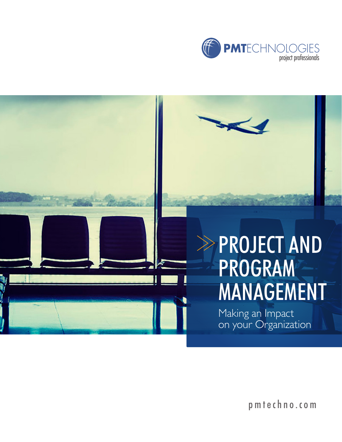



pmtechno.com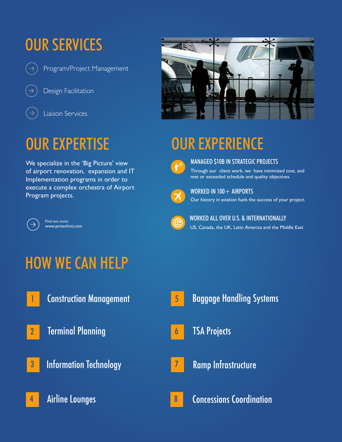# OUR SERVICES

Program/Project Management

Design Facilitation



## OUR EXPERTISE

We specialize in the 'Big Picture' view of airport renovation, expansion and IT Implementation programs in order to execute a complex orchestra of Airport Program projects.



Find out more: www.pmtechno.com



# OUR EXPERIENCE



MANAGED \$10B IN STRATEGIC PROJECTS

Through our client work, we have minimized cost, and met or exceeded schedule and quality objectives



WORKED IN 100 + AIRPORTS Our history in aviation fuels the success of your project.



7

WORKED ALL OVER U.S. & INTERNATIONALLY US, Canada, the UK, Latin America and the Middle East

### HOW WE CAN HELP

- 
- 2 Terminal Planning
- **3** Information Technology
- 4 Airline Lounges
- <mark>1 Baggage Handling Systems (1986) and the Construction Management (1986) substitute the Baggage Handling Systems</mark> 5
	- 6 TSA Projects
		- Ramp Infrastructure

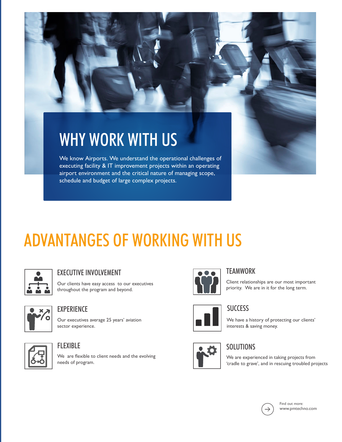# WHY WORK WITH US

We know Airports. We understand the operational challenges of executing facility & IT improvement projects within an operating airport environment and the critical nature of managing scope, schedule and budget of large complex projects.

# ADVANTANGES OF WORKING WITH US



#### EXECUTIVE INVOLVEMENT

Our clients have easy access to our executives throughout the program and beyond.



#### **EXPERIENCE**

Our executives average 25 years' aviation sector experience.



#### FLEXIBLE

We are flexible to client needs and the evolving needs of program.



#### **TFAMWORK**

Client relationships are our most important priority. We are in it for the long term.



#### **SUCCESS**

We have a history of protecting our clients' interests & saving money.



#### **SOLUTIONS**

We are experienced in taking projects from 'cradle to grave', and in rescuing troubled projects